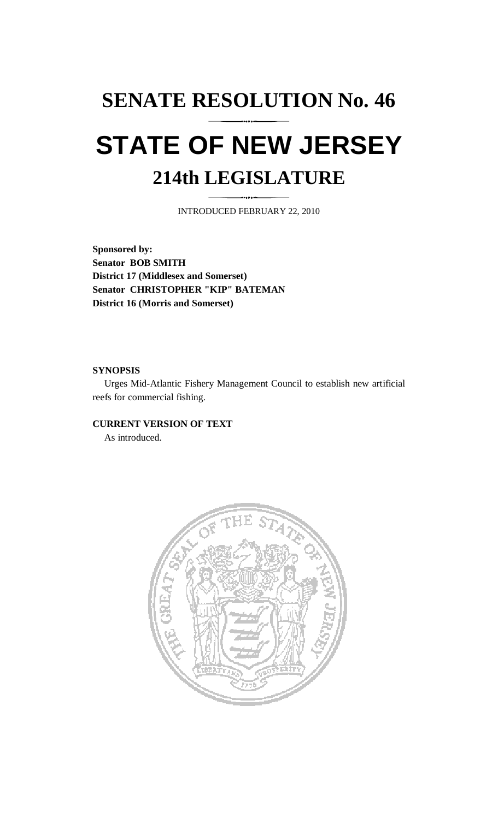# **SENATE RESOLUTION No. 46 STATE OF NEW JERSEY 214th LEGISLATURE**

INTRODUCED FEBRUARY 22, 2010

**Sponsored by: Senator BOB SMITH District 17 (Middlesex and Somerset) Senator CHRISTOPHER "KIP" BATEMAN District 16 (Morris and Somerset)** 

#### **SYNOPSIS**

 Urges Mid-Atlantic Fishery Management Council to establish new artificial reefs for commercial fishing.

## **CURRENT VERSION OF TEXT**

As introduced.

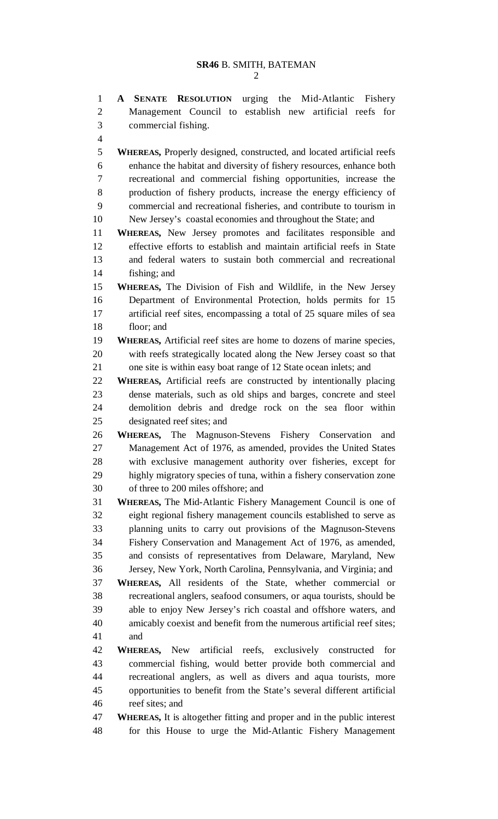1 **A SENATE RESOLUTION** urging the Mid-Atlantic Fishery 2 Management Council to establish new artificial reefs for 3 commercial fishing. 4 5 **WHEREAS,** Properly designed, constructed, and located artificial reefs 6 enhance the habitat and diversity of fishery resources, enhance both 7 recreational and commercial fishing opportunities, increase the 8 production of fishery products, increase the energy efficiency of 9 commercial and recreational fisheries, and contribute to tourism in 10 New Jersey's coastal economies and throughout the State; and 11 **WHEREAS,** New Jersey promotes and facilitates responsible and 12 effective efforts to establish and maintain artificial reefs in State 13 and federal waters to sustain both commercial and recreational 14 fishing; and 15 **WHEREAS,** The Division of Fish and Wildlife, in the New Jersey 16 Department of Environmental Protection, holds permits for 15 17 artificial reef sites, encompassing a total of 25 square miles of sea 18 floor; and 19 **WHEREAS,** Artificial reef sites are home to dozens of marine species, 20 with reefs strategically located along the New Jersey coast so that 21 one site is within easy boat range of 12 State ocean inlets; and 22 **WHEREAS,** Artificial reefs are constructed by intentionally placing 23 dense materials, such as old ships and barges, concrete and steel 24 demolition debris and dredge rock on the sea floor within 25 designated reef sites; and 26 **WHEREAS,** The Magnuson-Stevens Fishery Conservation and 27 Management Act of 1976, as amended, provides the United States 28 with exclusive management authority over fisheries, except for 29 highly migratory species of tuna, within a fishery conservation zone 30 of three to 200 miles offshore; and 31 **WHEREAS,** The Mid-Atlantic Fishery Management Council is one of 32 eight regional fishery management councils established to serve as 33 planning units to carry out provisions of the Magnuson-Stevens 34 Fishery Conservation and Management Act of 1976, as amended, 35 and consists of representatives from Delaware, Maryland, New 36 Jersey, New York, North Carolina, Pennsylvania, and Virginia; and 37 **WHEREAS,** All residents of the State, whether commercial or 38 recreational anglers, seafood consumers, or aqua tourists, should be 39 able to enjoy New Jersey's rich coastal and offshore waters, and 40 amicably coexist and benefit from the numerous artificial reef sites; 41 and 42 **WHEREAS,** New artificial reefs, exclusively constructed for 43 commercial fishing, would better provide both commercial and 44 recreational anglers, as well as divers and aqua tourists, more 45 opportunities to benefit from the State's several different artificial 46 reef sites; and 47 **WHEREAS,** It is altogether fitting and proper and in the public interest 48 for this House to urge the Mid-Atlantic Fishery Management